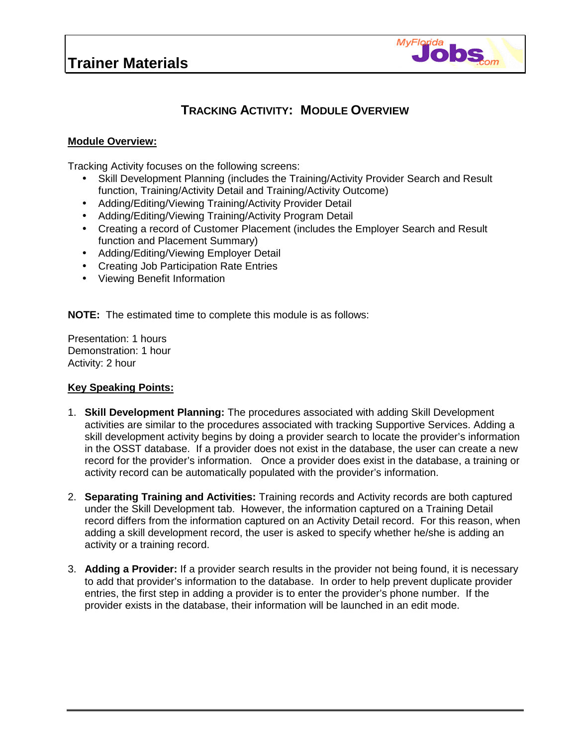

## **TRACKING ACTIVITY: MODULE OVERVIEW**

## **Module Overview:**

Tracking Activity focuses on the following screens:

- Skill Development Planning (includes the Training/Activity Provider Search and Result function, Training/Activity Detail and Training/Activity Outcome)
- Adding/Editing/Viewing Training/Activity Provider Detail
- Adding/Editing/Viewing Training/Activity Program Detail
- Creating a record of Customer Placement (includes the Employer Search and Result function and Placement Summary)
- Adding/Editing/Viewing Employer Detail
- Creating Job Participation Rate Entries
- Viewing Benefit Information

**NOTE:** The estimated time to complete this module is as follows:

Presentation: 1 hours Demonstration: 1 hour Activity: 2 hour

## **Key Speaking Points:**

- 1. **Skill Development Planning:** The procedures associated with adding Skill Development activities are similar to the procedures associated with tracking Supportive Services. Adding a skill development activity begins by doing a provider search to locate the provider's information in the OSST database. If a provider does not exist in the database, the user can create a new record for the provider's information. Once a provider does exist in the database, a training or activity record can be automatically populated with the provider's information.
- 2. **Separating Training and Activities:** Training records and Activity records are both captured under the Skill Development tab. However, the information captured on a Training Detail record differs from the information captured on an Activity Detail record. For this reason, when adding a skill development record, the user is asked to specify whether he/she is adding an activity or a training record.
- 3. **Adding a Provider:** If a provider search results in the provider not being found, it is necessary to add that provider's information to the database. In order to help prevent duplicate provider entries, the first step in adding a provider is to enter the provider's phone number. If the provider exists in the database, their information will be launched in an edit mode.